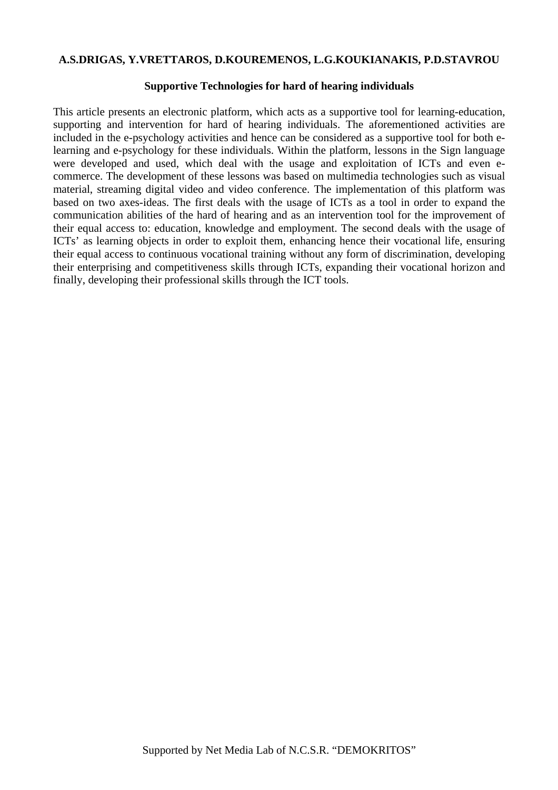#### **A.S.DRIGAS, Y.VRETTAROS, D.KOUREMENOS, L.G.KOUKIANAKIS, P.D.STAVROU**

#### **Supportive Technologies for hard of hearing individuals**

This article presents an electronic platform, which acts as a supportive tool for learning-education, supporting and intervention for hard of hearing individuals. The aforementioned activities are included in the e-psychology activities and hence can be considered as a supportive tool for both elearning and e-psychology for these individuals. Within the platform, lessons in the Sign language were developed and used, which deal with the usage and exploitation of ICTs and even ecommerce. The development of these lessons was based on multimedia technologies such as visual material, streaming digital video and video conference. The implementation of this platform was based on two axes-ideas. The first deals with the usage of ICTs as a tool in order to expand the communication abilities of the hard of hearing and as an intervention tool for the improvement of their equal access to: education, knowledge and employment. The second deals with the usage of ICTs' as learning objects in order to exploit them, enhancing hence their vocational life, ensuring their equal access to continuous vocational training without any form of discrimination, developing their enterprising and competitiveness skills through ICTs, expanding their vocational horizon and finally, developing their professional skills through the ICT tools.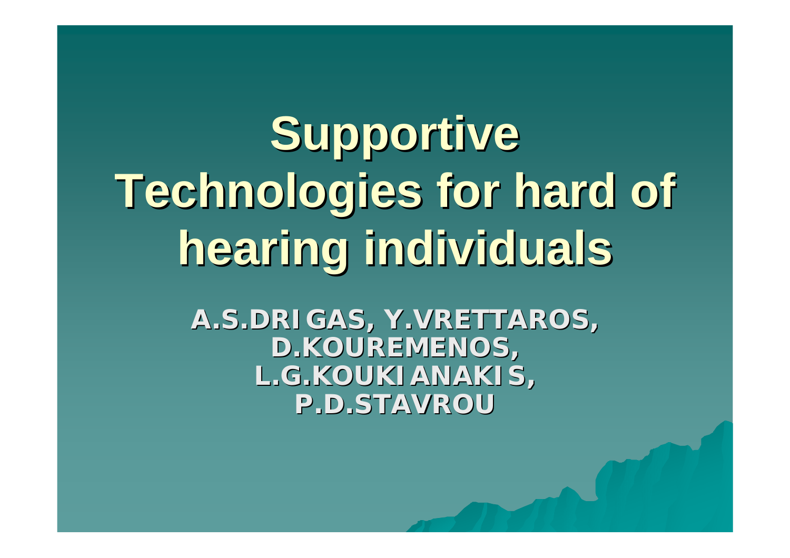**Supportive Technologies for hard of Technologies for hard of hearing individuals hearing individuals**

> **A.S.DRIGAS, Y.VRETTAROS, A.S.DRIGAS, Y.VRETTAROS, D.KOUREMENOS, L.G.KOUKIANAKIS, P.D.STAVROU P.D.STAVROU**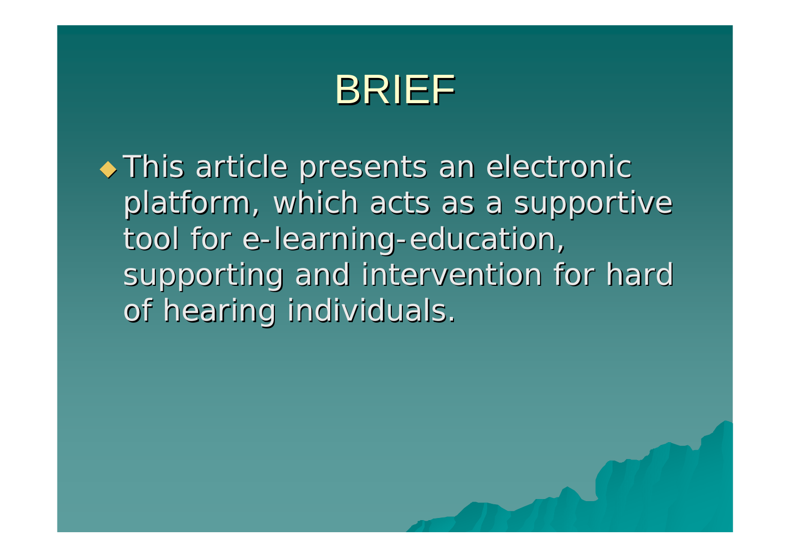

 $\rightarrow$  This article presents an electronic platform, which acts as a supportive tool for e-learning-education, supporting and intervention for hard of hearing individuals.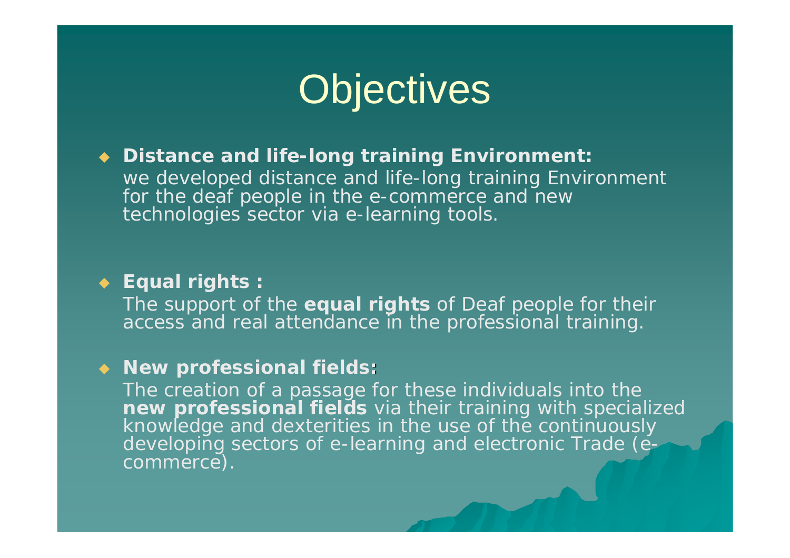

 **Distance and life-long training Environment:** we developed distance and life-long training Environment for the deaf people in the e-commerce and new technologies sector via e-learning tools.

#### **Equal rights :**

The support of the **equal rights** of Deaf people for their access and real attendance in the professional training.

#### **New professional fields:**

The creation of a passage for these individuals into the new professional fields via their training with specialized<br>knowledge and dexterities in the use of the continuously developing sectors of e-learning and electronic Trade (e-<br>commerce).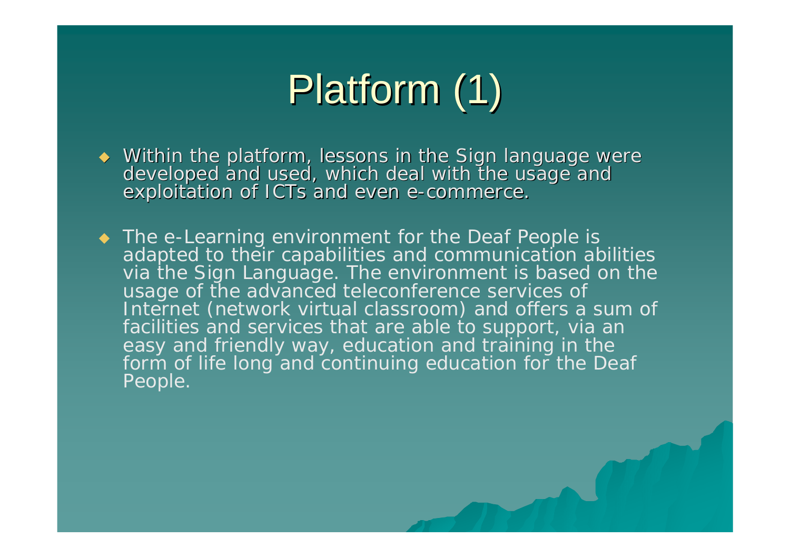# Platform (1)

- Within the platform, lessons in the Sign language were developed and used, which deal with the usage and<br>exploitation of ICTs and even e-commerce.
- ◆ The e-Learning environment for the Deaf People is adapted to their capabilities and communication abilities via the Sign Language. The environment is based on the usage of the advanced teleconference services of<br>Internet (network virtual classroom) and offers a sum of facilities and services that are able to support, via an easy and friendly way, education and training in the form of life long and continuing education for the Deaf People.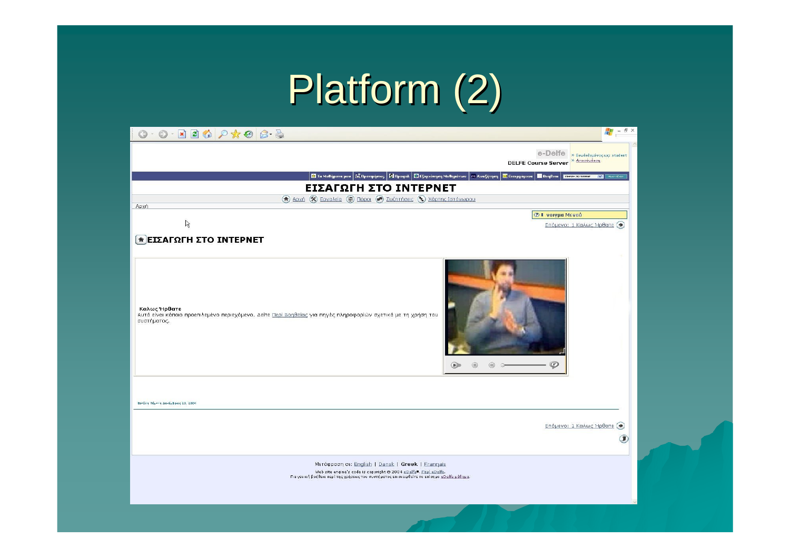# Platform (2)

| M,<br>日 ×<br>$\odot \textbf{X} \odot \textbf{X} \odot \textbf{X} \odot \textbf{X} \odot \textbf{X}$<br>$\overline{\phantom{a}}$                                                                                                                                                                                                                                          |
|--------------------------------------------------------------------------------------------------------------------------------------------------------------------------------------------------------------------------------------------------------------------------------------------------------------------------------------------------------------------------|
| e-Delfe<br>» Συνδεδεμένος ως: student<br>» Αποσύνδεση<br><b>DELFE Course Server</b>                                                                                                                                                                                                                                                                                      |
| 2 Τα Μαθήματα μου   2 Προτιμήσεις   12 Προφίλ   2 Εξερεύνηση Μαθημάτων   78 Αναζήτηση<br><b>22</b> Εισερχόμενα<br><b>Bondera</b><br><b>EVALUATED INTERNET WAS ARRESTED FOR THE PART OF STATE OF STATE OF STATE OF STATE OF STATE OF STATE OF STATE OF STATE OF STATE OF STATE OF STATE OF STATE OF STATE OF STATE OF STATE OF STATE OF STATE OF STATE OF STATE OF ST</b> |
| ΕΙΣΑΓΩΓΗ ΣΤΟ ΙΝΤΕΡΝΕΤ                                                                                                                                                                                                                                                                                                                                                    |
| (π) Αρχή (χ) Εργαλεία (Φ) Πόροι (π) Συζητήσεις (Φ) Χάρτης Ιστόχωρου<br>Αρχή                                                                                                                                                                                                                                                                                              |
| <b><i><sup>2</sup></i>   volyua Mevoù</b>                                                                                                                                                                                                                                                                                                                                |
| $\mathbb{Z}$<br>Επόμενο: 1 Καλως Ήρθατε (→)                                                                                                                                                                                                                                                                                                                              |
| <b>* ΕΙΣΑΓΩΓΗ ΣΤΟ INTEPNET</b>                                                                                                                                                                                                                                                                                                                                           |
| Καλως Ήρθατε<br>Αυτό είναι κάποιο προεπιλεμένο περιεχόμενο. Δείτε <u>Περί Βοηθείας</u> για πηγές πληροφορίών σχετικά με τη χρήση του<br>συστήματος.<br>$\left( r\right)$<br>$\circledcirc$<br>0<br>◉                                                                                                                                                                     |
| Βοτάλη Πέμπτη Δεκέμβριας 23, 2004                                                                                                                                                                                                                                                                                                                                        |
| Επόμενο: 1 Καλως Ήρθατε (→<br>o                                                                                                                                                                                                                                                                                                                                          |
| Mετάφραση σε: English   Dansk   Greek   Frannais<br>Web site engine's code is copyright @ 2004 eDelfe0. Flapi eDelfe.<br>Για γενική βοήθεια περί της χρήσεως του συστήματος επισκεφθείτε το επίσημο <u>«Delfe μάθημα</u> .                                                                                                                                               |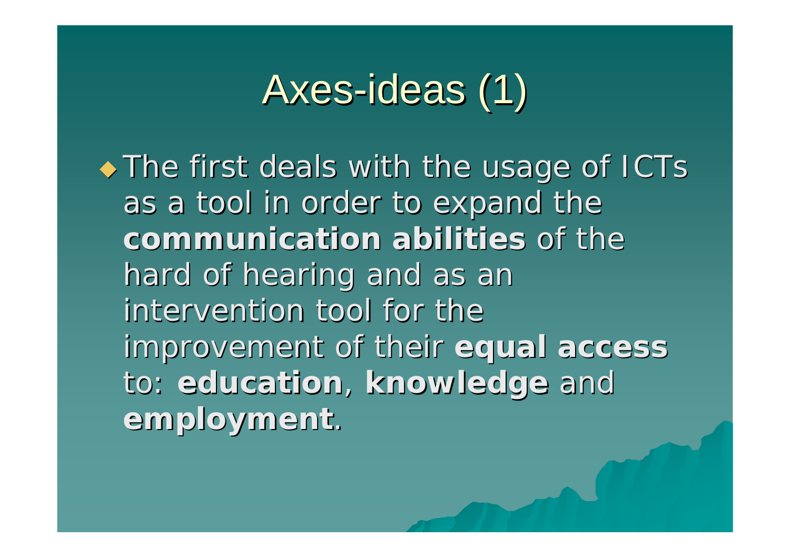## Axes-ideas (1)

 $\blacklozenge$  The first deals with the usage of ICTs as a tool in order to expand the **communication abilities communication abilities** of the hard of hearing and as an intervention tool for the **improvement of their equal access to: education, knowledge and employment employment**.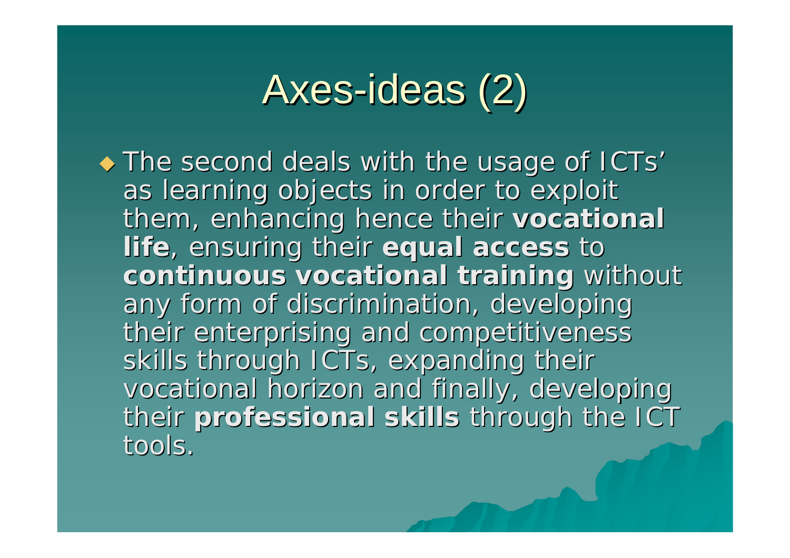## Axes-ideas (2)

 $\blacklozenge$  The second deals with the usage of ICTs' as learning objects in order to exploit them, enhancing hence their vocational **life**, ensuring their equal access to **continuous vocational continuous vocational training training** without without any form of discrimination, developing their enterprising and competitiveness skills through ICTs, expanding their vocational horizon and finally, developing their professional skills through the ICT tools.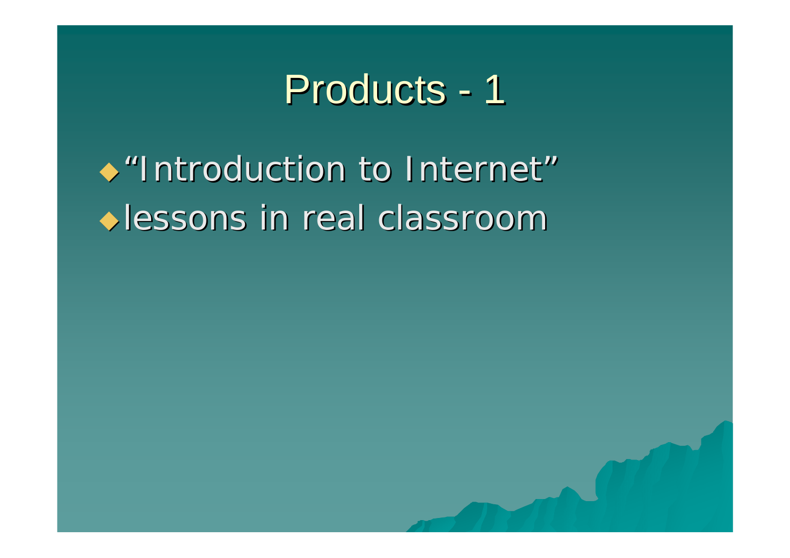

 $\rightarrow$  "Introduction to Internet" **Lessons in real classroom**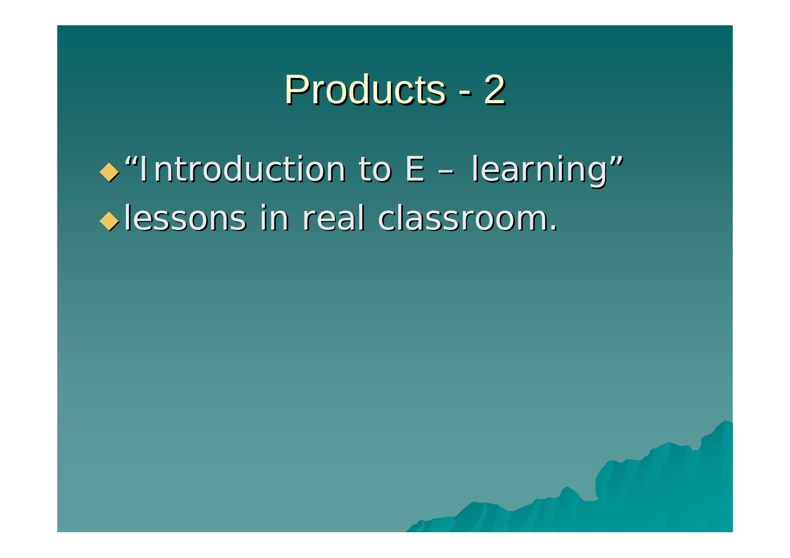

 $\rightarrow$  "Introduction to E – learning" **Iessons in real classroom.**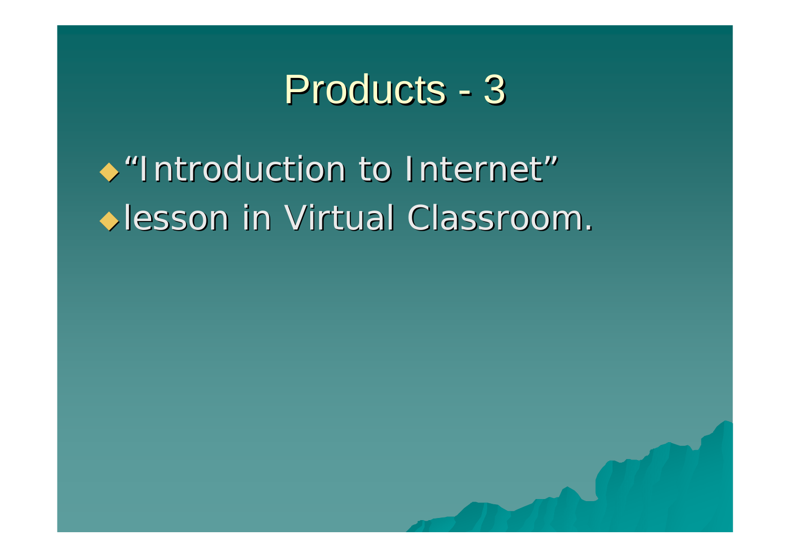

 $\rightarrow$  "Introduction to Internet" **Iesson in Virtual Classroom.**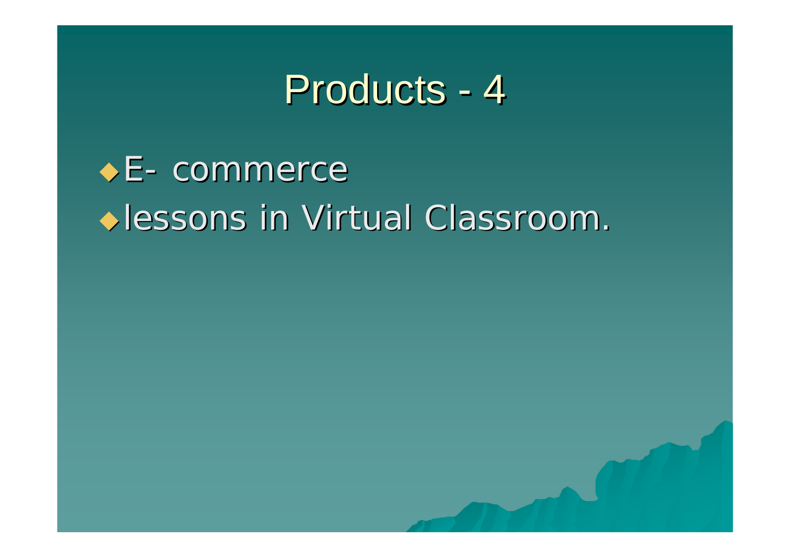### Products - 4

 $\triangle$  E- commerce **In Virtual Classroom.** Allessons in Virtual Classroom.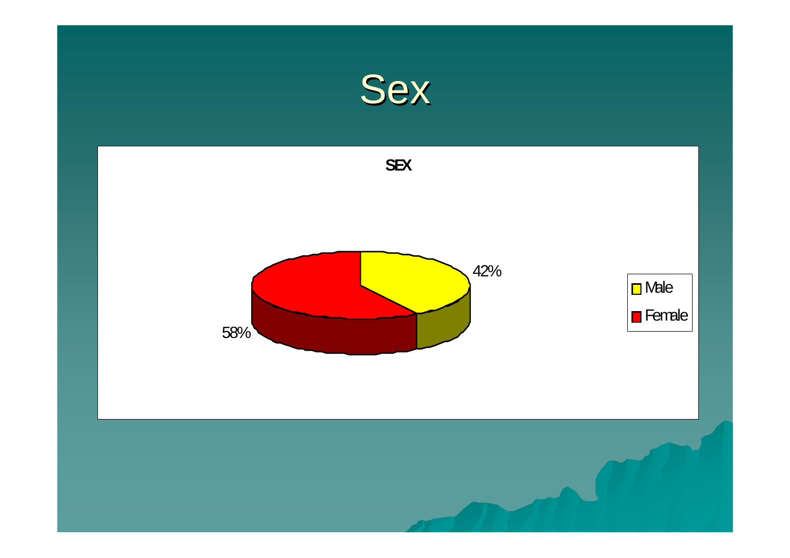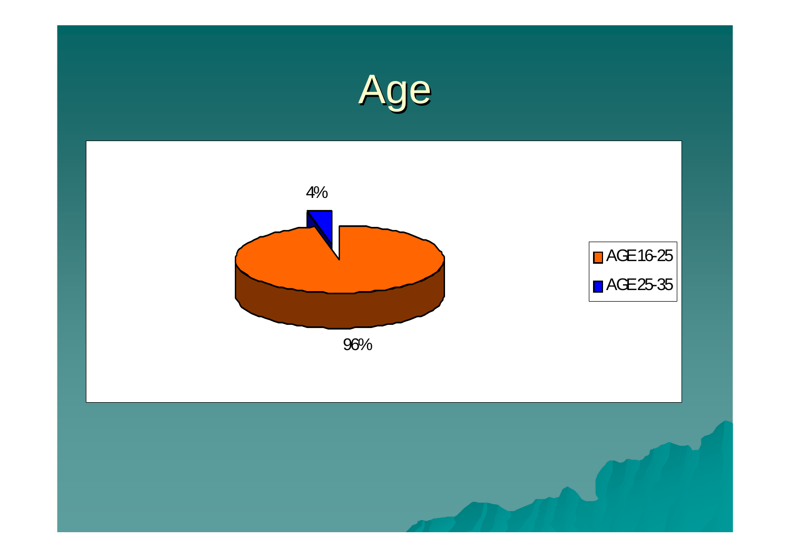

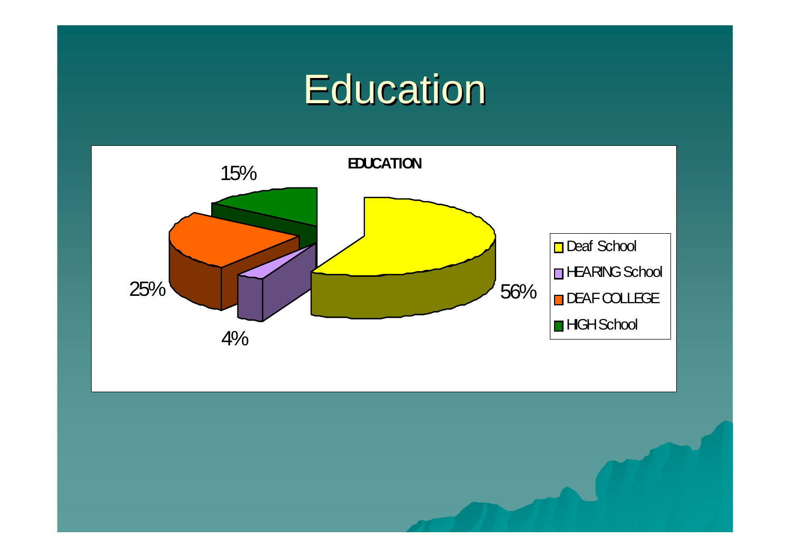### **Education**

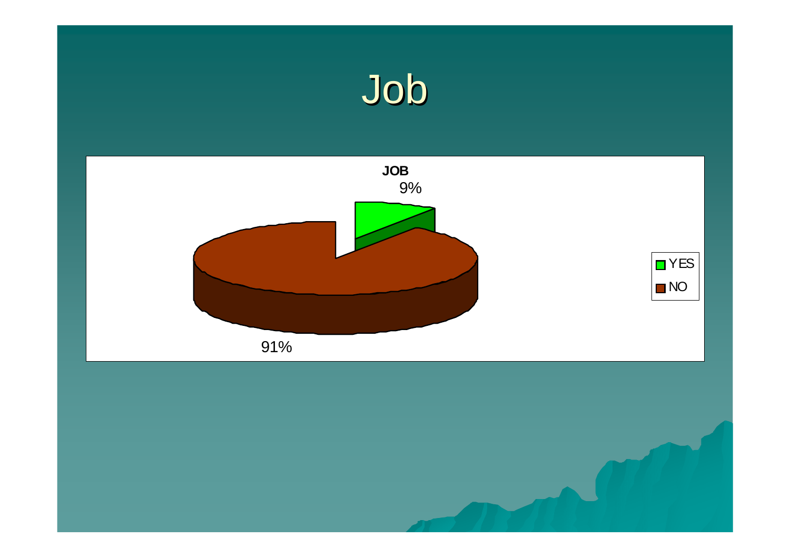## Job

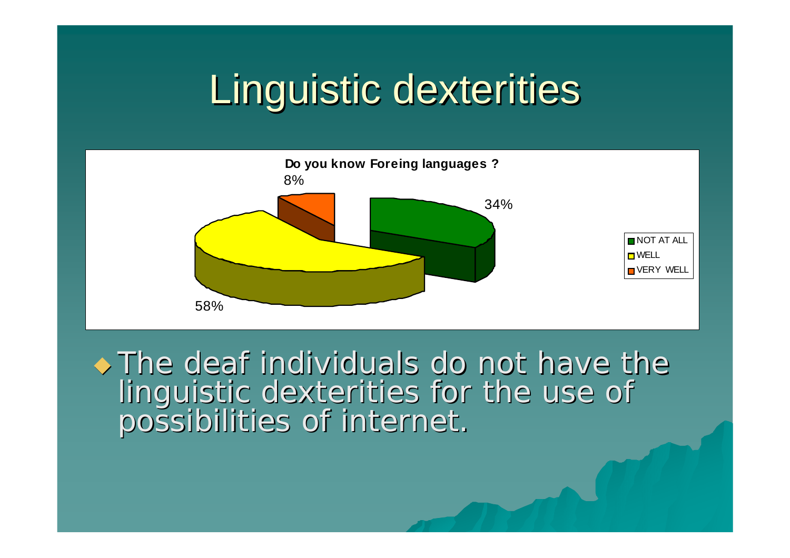## Linguistic dexterities



 $\rightarrow$  The deaf individuals do not have the linguistic dexterities for the use of<br>possibilities of internet.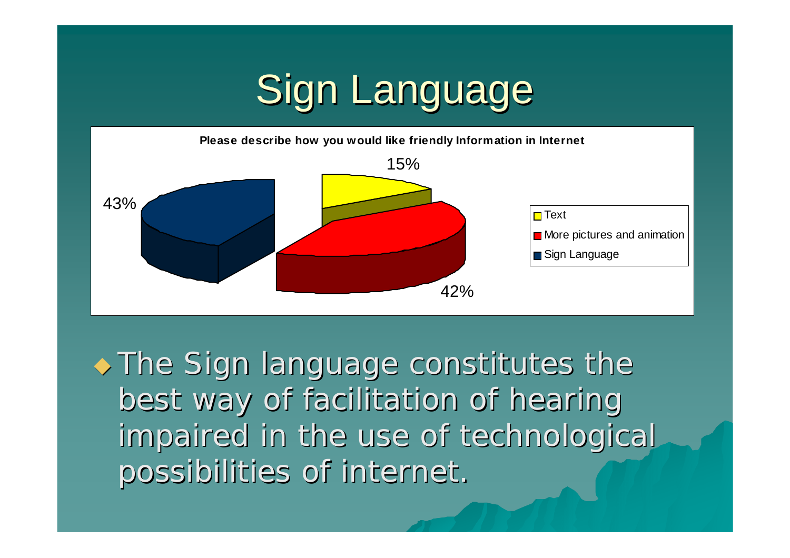## Sign Language



 $\rightarrow$  The Sign language constitutes the best way of facilitation of hearing impaired in the use of technological possibilities of internet. possibilities of internet.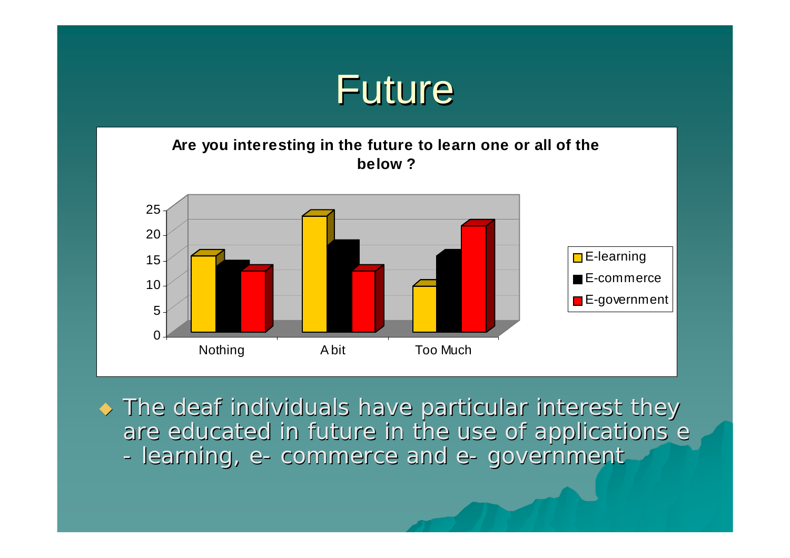

#### **Are you interesting in the future to learn one or all of the below ?**



 $\blacklozenge$  The deaf individuals have particular interest they are educated in future in the use of applications e -- learning, e- commerce and e- government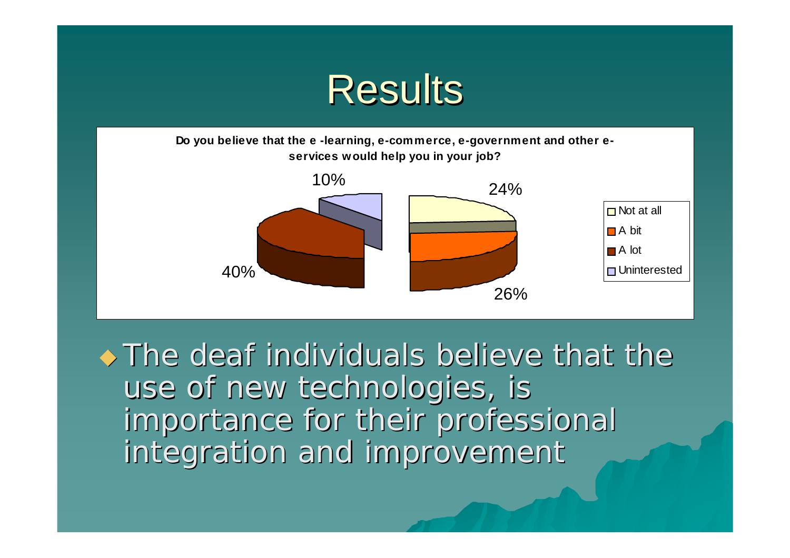



 $\rightarrow$  The deaf individuals believe that the use of new technologies, is importance for their professional importance for their professional integration and improvement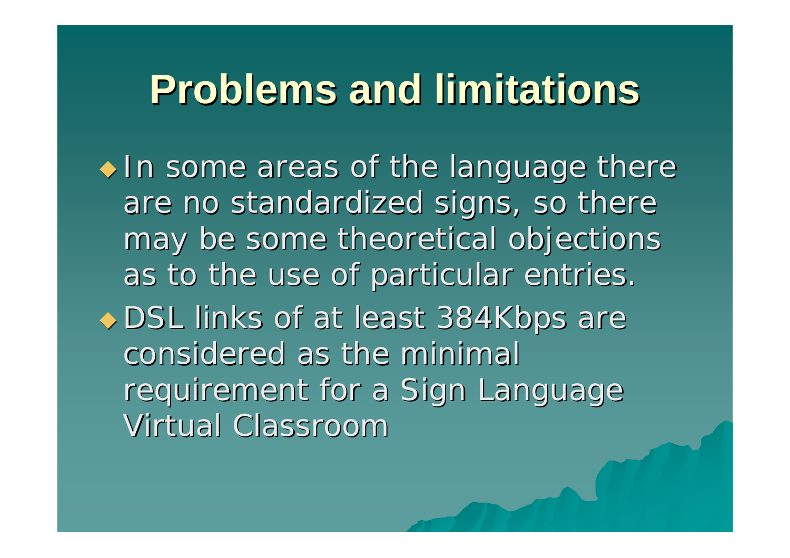## **Problems and limitations Problems and limitations**

 $\bullet$  In some areas of the language there are no standardized signs, so there may be some theoretical objections as to the use of particular entries. ◆ DSL links of at least 384Kbps are considered as the minimal requirement for a Sign Language Virtual Classroom